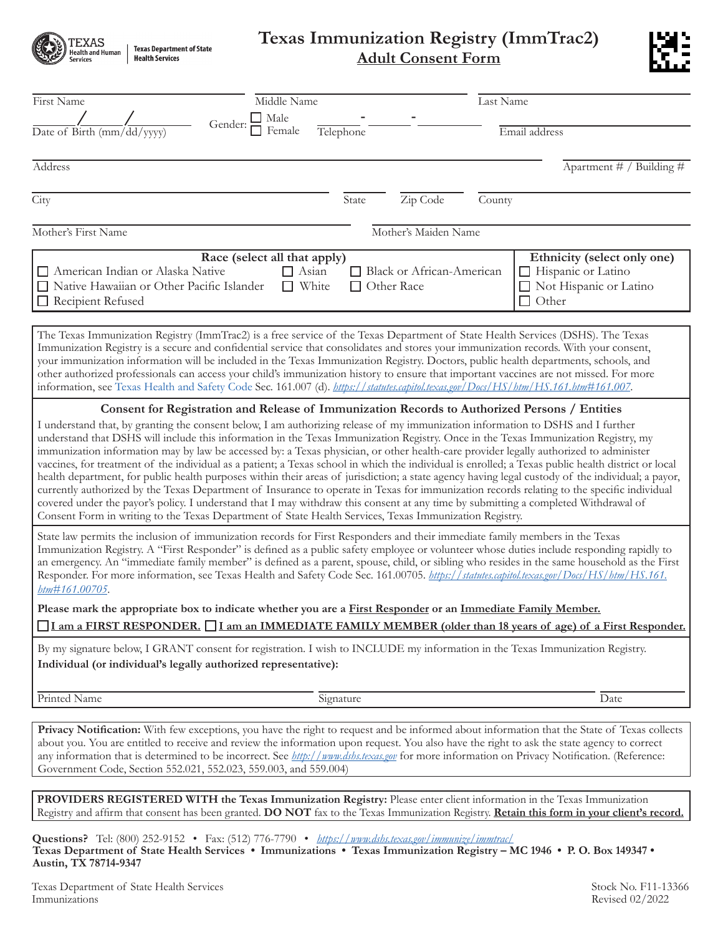| <b>Texas Department of State</b> |
|----------------------------------|
|                                  |

## **Texas Immunization Registry (ImmTrac2) Adult Consent Form**



| First Name<br>Gender:<br>Date of Birth (mm/dd/yyyy)                                                                                                                                                                                                                                                                                                                                                                                                                                                                                                                                                                                                                                                                                                                                                           | Middle Name<br>$\Box$ Male<br>Female<br>Telephone                                                              | Last Name<br>Email address                                                                                                                                                                                                                                                                               |  |  |  |
|---------------------------------------------------------------------------------------------------------------------------------------------------------------------------------------------------------------------------------------------------------------------------------------------------------------------------------------------------------------------------------------------------------------------------------------------------------------------------------------------------------------------------------------------------------------------------------------------------------------------------------------------------------------------------------------------------------------------------------------------------------------------------------------------------------------|----------------------------------------------------------------------------------------------------------------|----------------------------------------------------------------------------------------------------------------------------------------------------------------------------------------------------------------------------------------------------------------------------------------------------------|--|--|--|
|                                                                                                                                                                                                                                                                                                                                                                                                                                                                                                                                                                                                                                                                                                                                                                                                               |                                                                                                                |                                                                                                                                                                                                                                                                                                          |  |  |  |
| Address                                                                                                                                                                                                                                                                                                                                                                                                                                                                                                                                                                                                                                                                                                                                                                                                       |                                                                                                                | Apartment $# /$ Building $#$                                                                                                                                                                                                                                                                             |  |  |  |
| City                                                                                                                                                                                                                                                                                                                                                                                                                                                                                                                                                                                                                                                                                                                                                                                                          | Zip Code<br>State                                                                                              | County                                                                                                                                                                                                                                                                                                   |  |  |  |
| Mother's First Name                                                                                                                                                                                                                                                                                                                                                                                                                                                                                                                                                                                                                                                                                                                                                                                           | Mother's Maiden Name                                                                                           |                                                                                                                                                                                                                                                                                                          |  |  |  |
|                                                                                                                                                                                                                                                                                                                                                                                                                                                                                                                                                                                                                                                                                                                                                                                                               |                                                                                                                |                                                                                                                                                                                                                                                                                                          |  |  |  |
| American Indian or Alaska Native<br>□ Native Hawaiian or Other Pacific Islander<br>$\Box$ Recipient Refused                                                                                                                                                                                                                                                                                                                                                                                                                                                                                                                                                                                                                                                                                                   | Race (select all that apply)<br>$\Box$ Asian<br>Black or African-American<br>$\Box$ White<br>$\Box$ Other Race | Ethnicity (select only one)<br>$\Box$ Hispanic or Latino<br>□ Not Hispanic or Latino<br>$\Box$ Other                                                                                                                                                                                                     |  |  |  |
| The Texas Immunization Registry (ImmTrac2) is a free service of the Texas Department of State Health Services (DSHS). The Texas<br>Immunization Registry is a secure and confidential service that consolidates and stores your immunization records. With your consent,<br>your immunization information will be included in the Texas Immunization Registry. Doctors, public health departments, schools, and<br>other authorized professionals can access your child's immunization history to ensure that important vaccines are not missed. For more<br>information, see Texas Health and Safety Code Sec. 161.007 (d). https://statutes.capitol.texas.gov/Docs/HS/htm/HS.161.htm#161.007.                                                                                                               |                                                                                                                |                                                                                                                                                                                                                                                                                                          |  |  |  |
| I understand that, by granting the consent below, I am authorizing release of my immunization information to DSHS and I further<br>understand that DSHS will include this information in the Texas Immunization Registry. Once in the Texas Immunization Registry, my<br>immunization information may by law be accessed by: a Texas physician, or other health-care provider legally authorized to administer<br>currently authorized by the Texas Department of Insurance to operate in Texas for immunization records relating to the specific individual<br>covered under the payor's policy. I understand that I may withdraw this consent at any time by submitting a completed Withdrawal of<br>Consent Form in writing to the Texas Department of State Health Services, Texas Immunization Registry. | Consent for Registration and Release of Immunization Records to Authorized Persons / Entities                  | vaccines, for treatment of the individual as a patient; a Texas school in which the individual is enrolled; a Texas public health district or local<br>health department, for public health purposes within their areas of jurisdiction; a state agency having legal custody of the individual; a payor, |  |  |  |
| State law permits the inclusion of immunization records for First Responders and their immediate family members in the Texas<br>Immunization Registry. A "First Responder" is defined as a public safety employee or volunteer whose duties include responding rapidly to<br>Responder. For more information, see Texas Health and Safety Code Sec. 161.00705. https://statutes.capitol.texas.gov/Docs/HS/htm/HS.161.<br>htm#161.00705.                                                                                                                                                                                                                                                                                                                                                                       |                                                                                                                | an emergency. An "immediate family member" is defined as a parent, spouse, child, or sibling who resides in the same household as the First                                                                                                                                                              |  |  |  |
| Please mark the appropriate box to indicate whether you are a First Responder or an Immediate Family Member.<br>I am a FIRST RESPONDER. I am an IMMEDIATE FAMILY MEMBER (older than 18 years of age) of a First Responder.                                                                                                                                                                                                                                                                                                                                                                                                                                                                                                                                                                                    |                                                                                                                |                                                                                                                                                                                                                                                                                                          |  |  |  |
|                                                                                                                                                                                                                                                                                                                                                                                                                                                                                                                                                                                                                                                                                                                                                                                                               |                                                                                                                |                                                                                                                                                                                                                                                                                                          |  |  |  |
| By my signature below, I GRANT consent for registration. I wish to INCLUDE my information in the Texas Immunization Registry.<br>Individual (or individual's legally authorized representative):                                                                                                                                                                                                                                                                                                                                                                                                                                                                                                                                                                                                              |                                                                                                                |                                                                                                                                                                                                                                                                                                          |  |  |  |
| Printed Name                                                                                                                                                                                                                                                                                                                                                                                                                                                                                                                                                                                                                                                                                                                                                                                                  | Signature                                                                                                      | Date                                                                                                                                                                                                                                                                                                     |  |  |  |
| about you. You are entitled to receive and review the information upon request. You also have the right to ask the state agency to correct<br>any information that is determined to be incorrect. See <i>http://www.dshs.texas.gov</i> for more information on Privacy Notification. (Reference:<br>Government Code, Section 552.021, 552.023, 559.003, and 559.004)                                                                                                                                                                                                                                                                                                                                                                                                                                          |                                                                                                                | Privacy Notification: With few exceptions, you have the right to request and be informed about information that the State of Texas collects                                                                                                                                                              |  |  |  |
| PROVIDERS REGISTERED WITH the Texas Immunization Registry: Please enter client information in the Texas Immunization                                                                                                                                                                                                                                                                                                                                                                                                                                                                                                                                                                                                                                                                                          |                                                                                                                | Registry and affirm that consent has been granted. DO NOT fax to the Texas Immunization Registry. Retain this form in your client's record.                                                                                                                                                              |  |  |  |
| Questions? Tel: (800) 252-9152 • Fax: (512) 776-7790 • <i>https://www.dshs.texas.gov/immunize/immtrac/</i><br>Texas Department of State Health Services • Immunizations • Texas Immunization Registry - MC 1946 • P. O. Box 149347 •<br>Austin, TX 78714-9347                                                                                                                                                                                                                                                                                                                                                                                                                                                                                                                                                 |                                                                                                                |                                                                                                                                                                                                                                                                                                          |  |  |  |